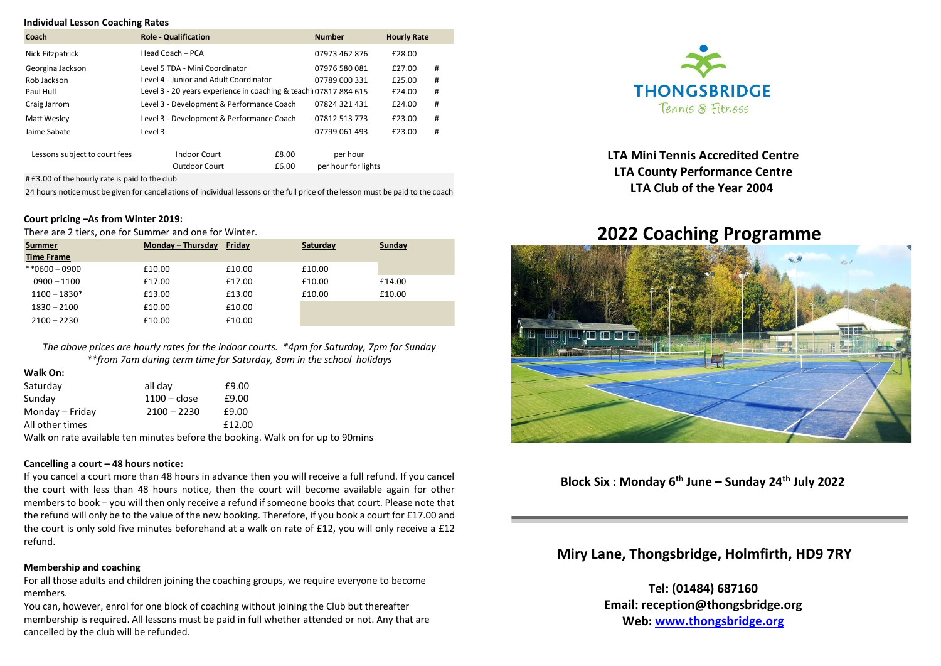#### **Individual Lesson Coaching Rates**

| Coach                         | <b>Role - Qualification</b>                                      | <b>Number</b>       | <b>Hourly Rate</b> |   |
|-------------------------------|------------------------------------------------------------------|---------------------|--------------------|---|
| Nick Fitzpatrick              | Head Coach - PCA                                                 | 07973 462 876       | £28.00             |   |
| Georgina Jackson              | Level 5 TDA - Mini Coordinator                                   | 07976 580 081       | £27.00             | # |
| Rob Jackson                   | Level 4 - Junior and Adult Coordinator                           | 07789 000 331       | £25.00             | # |
| Paul Hull                     | Level 3 - 20 years experience in coaching & teachi 07817 884 615 |                     | £24.00             | # |
| Craig Jarrom                  | Level 3 - Development & Performance Coach                        | 07824 321 431       | £24.00             | # |
| Matt Wesley                   | Level 3 - Development & Performance Coach                        | 07812 513 773       | £23.00             | # |
| Jaime Sabate                  | Level 3                                                          | 07799 061 493       | £23.00             | # |
| Lessons subject to court fees | <b>Indoor Court</b><br>£8.00                                     | per hour            |                    |   |
|                               | Outdoor Court<br>£6.00                                           | per hour for lights |                    |   |

# £3.00 of the hourly rate is paid to the club

24 hours notice must be given for cancellations of individual lessons or the full price of the lesson must be paid to the coach

### **Court pricing –As from Winter 2019:**

There are 2 tiers, one for Summer and one for Winter.

| Summer            | Monday - Thursday | Friday | Saturday | Sunday |
|-------------------|-------------------|--------|----------|--------|
| <b>Time Frame</b> |                   |        |          |        |
| $*80600 - 0900$   | £10.00            | £10.00 | £10.00   |        |
| $0900 - 1100$     | £17.00            | £17.00 | £10.00   | £14.00 |
| $1100 - 1830*$    | £13.00            | £13.00 | £10.00   | £10.00 |
| $1830 - 2100$     | £10.00            | £10.00 |          |        |
| $2100 - 2230$     | £10.00            | £10.00 |          |        |

*The above prices are hourly rates for the indoor courts. \*4pm for Saturday, 7pm for Sunday \*\*from 7am during term time for Saturday, 8am in the school holidays*

| Walk On:        |                |        |
|-----------------|----------------|--------|
| Saturday        | all day        | £9.00  |
| Sunday          | $1100 - close$ | £9.00  |
| Monday - Friday | $2100 - 2230$  | £9.00  |
| All other times |                | £12.00 |

Walk on rate available ten minutes before the booking. Walk on for up to 90mins

#### **Cancelling a court – 48 hours notice:**

If you cancel a court more than 48 hours in advance then you will receive a full refund. If you cancel the court with less than 48 hours notice, then the court will become available again for other members to book – you will then only receive a refund if someone books that court. Please note that the refund will only be to the value of the new booking. Therefore, if you book a court for £17.00 and the court is only sold five minutes beforehand at a walk on rate of £12, you will only receive a £12 refund.

## **Membership and coaching**

For all those adults and children joining the coaching groups, we require everyone to become members.

You can, however, enrol for one block of coaching without joining the Club but thereafter membership is required. All lessons must be paid in full whether attended or not. Any that are cancelled by the club will be refunded.



 **LTA Mini Tennis Accredited Centre LTA County Performance Centre LTA Club of the Year 2004**

# **2022 Coaching Programme**



**Block Six : Monday 6 th June – Sunday 24th July 2022**

 **Miry Lane, Thongsbridge, Holmfirth, HD9 7RY**

 **Tel: (01484) 687160 Email: reception@thongsbridge.org Web: [www.thongsbridge.org](http://www.thongsbridge.org/)**